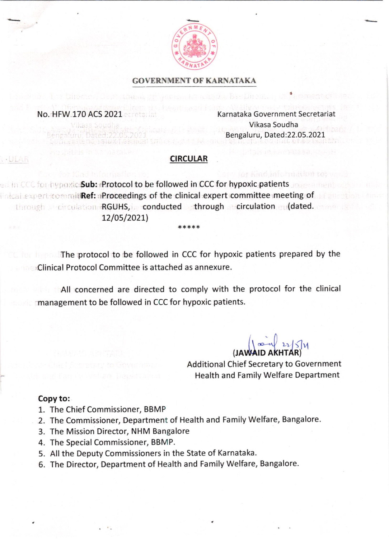

### GOVERNMENT OF KARNATAKA

#### No. HFW 170 ACS 2021 external at the contracted Karnataka Government Secretariat

Vikasa Soudha Bengaluru, Dated:22.05.2021

### CIRCULAR

. In CCC for hypoxic Sub: Protocol to be followed in CCC for hypoxic patients Inical expert to mmit Ref: aProceedings of the clinical expert committee meeting of through a circulation RGUHS, conducted through a circulation au(dated. 12/05/2021)

**The protocol to be followed in CCC for hypoxic patients prepared by the** Clinical Protocol Committee is attached as annexure.

\*\*\*\*

All concerned are directed to comply with the protocol for the clinical management to be followed in CCC for hypoxic patients.

 $( JAWAID AKHTAR)$ 

Additional Chief Secretary to Government Health and Family Welfare Department

### Copy to:

. ULAR

- 1. The Chief Commissioner, BBMP
- 2. The Commissioner, Department of Health and Family Welfare, Bangalore.
- 3. The Mission Director, NHM Bangalore
- 4. The Special Commissioner, BBMP.
- 5. All the Deputy Commissioners in the State of Karnataka.
- 6. The Director, Department of Health and Family Welfare, Bangalore.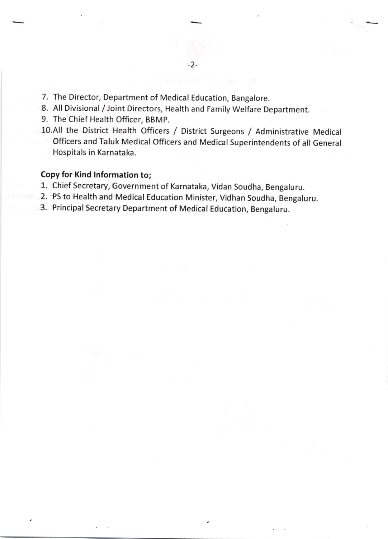- 7. The Director, Department of Medical Education, Bangalore.
- 8. All Divisional /Joint Directors, Health and Family Welfare Department.
- 9. The Chief Health Officer, BBMP.
- 10.All the District Health officers / District surgeons / Administrative Medical officers and Taluk Medical officers and Medical superintendents of all General Hospitals in Karnataka.

## Copy for Kind lnformation to;

- 1. Chief Secretary, Government of Karnataka, Vidan Soudha, Bengaluru.
- 2. PS to Health and Medical Education Minister, Vidhan Soudha, Bengaluru.
- 3. Principal Secretary Department of Medical Education, Bengaluru.